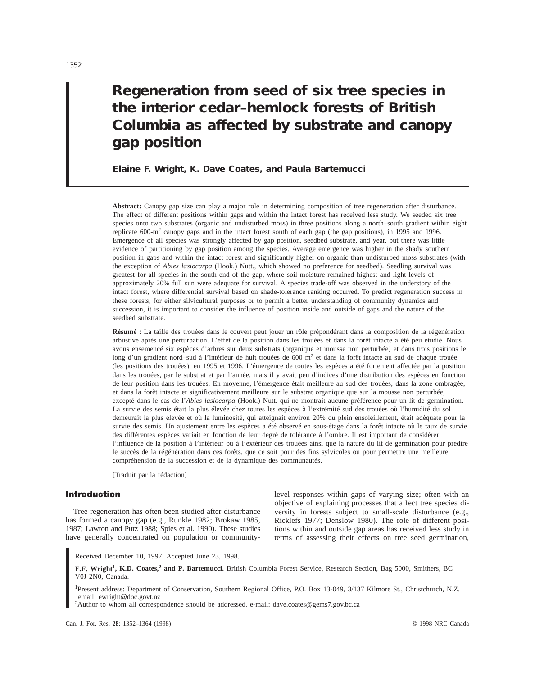# **Regeneration from seed of six tree species in the interior cedar–hemlock forests of British Columbia as affected by substrate and canopy gap position**

# **Elaine F. Wright, K. Dave Coates, and Paula Bartemucci**

**Abstract:** Canopy gap size can play a major role in determining composition of tree regeneration after disturbance. The effect of different positions within gaps and within the intact forest has received less study. We seeded six tree species onto two substrates (organic and undisturbed moss) in three positions along a north–south gradient within eight replicate 600-m<sup>2</sup> canopy gaps and in the intact forest south of each gap (the gap positions), in 1995 and 1996. Emergence of all species was strongly affected by gap position, seedbed substrate, and year, but there was little evidence of partitioning by gap position among the species. Average emergence was higher in the shady southern position in gaps and within the intact forest and significantly higher on organic than undisturbed moss substrates (with the exception of *Abies lasiocarpa* (Hook.) Nutt., which showed no preference for seedbed). Seedling survival was greatest for all species in the south end of the gap, where soil moisture remained highest and light levels of approximately 20% full sun were adequate for survival. A species trade-off was observed in the understory of the intact forest, where differential survival based on shade-tolerance ranking occurred. To predict regeneration success in these forests, for either silvicultural purposes or to permit a better understanding of community dynamics and succession, it is important to consider the influence of position inside and outside of gaps and the nature of the seedbed substrate.

**Résumé** : La taille des trouées dans le couvert peut jouer un rôle prépondérant dans la composition de la régénération arbustive après une perturbation. L'effet de la position dans les trouées et dans la forêt intacte a été peu étudié. Nous avons ensemencé six espèces d'arbres sur deux substrats (organique et mousse non perturbée) et dans trois positions le long d'un gradient nord–sud à l'intérieur de huit trouées de 600 m<sup>2</sup> et dans la forêt intacte au sud de chaque trouée (les positions des trouées), en 1995 et 1996. L'émergence de toutes les espèces a été fortement affectée par la position dans les trouées, par le substrat et par l'année, mais il y avait peu d'indices d'une distribution des espèces en fonction de leur position dans les trouées. En moyenne, l'émergence était meilleure au sud des trouées, dans la zone ombragée, et dans la forêt intacte et significativement meilleure sur le substrat organique que sur la mousse non perturbée, excepté dans le cas de l'*Abies lasiocarpa* (Hook.) Nutt. qui ne montrait aucune préférence pour un lit de germination. La survie des semis était la plus élevée chez toutes les espèces à l'extrémité sud des trouées où l'humidité du sol demeurait la plus élevée et où la luminosité, qui atteignait environ 20% du plein ensoleillement, était adéquate pour la survie des semis. Un ajustement entre les espèces a été observé en sous-étage dans la forêt intacte où le taux de survie des différentes espèces variait en fonction de leur degré de tolérance à l'ombre. Il est important de considérer l'influence de la position à l'intérieur ou à l'extérieur des trouées ainsi que la nature du lit de germination pour prédire le succès de la régénération dans ces forêts, que ce soit pour des fins sylvicoles ou pour permettre une meilleure compréhension de la succession et de la dynamique des communautés.

[Traduit par la rédaction]

# **Introduction**

Tree regeneration has often been studied after disturbance has formed a canopy gap (e.g., Runkle 1982; Brokaw 1985, 1987; Lawton and Putz 1988; Spies et al. 1990). These studies have generally concentrated on population or communitylevel responses within gaps of varying size; often with an objective of explaining processes that affect tree species diversity in forests subject to small-scale disturbance (e.g., Ricklefs 1977; Denslow 1980). The role of different positions within and outside gap areas has received less study in terms of assessing their effects on tree seed germination,

Received December 10, 1997. Accepted June 23, 1998.

**E.F. Wright<sup>1</sup> , K.D. Coates,<sup>2</sup> and P. Bartemucci.** British Columbia Forest Service, Research Section, Bag 5000, Smithers, BC V0J 2N0, Canada.

<sup>1</sup>Present address: Department of Conservation, Southern Regional Office, P.O. Box 13-049, 3/137 Kilmore St., Christchurch, N.Z. email: ewright@doc.govt.nz

<sup>2</sup>Author to whom all correspondence should be addressed. e-mail: dave.coates@gems7.gov.bc.ca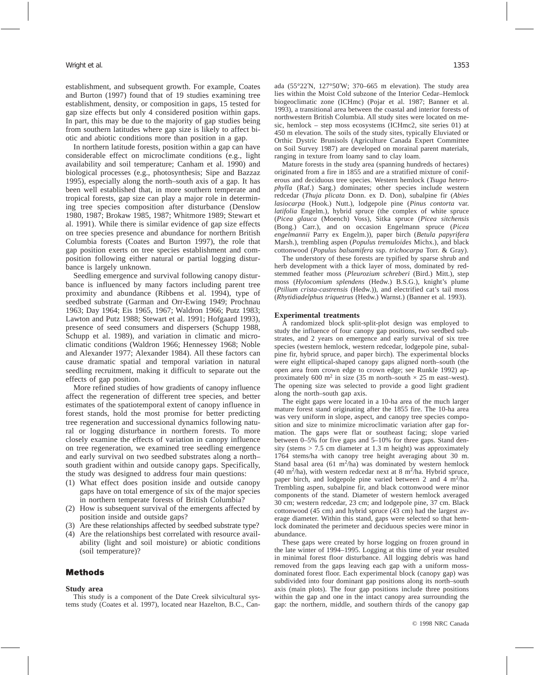establishment, and subsequent growth. For example, Coates and Burton (1997) found that of 19 studies examining tree establishment, density, or composition in gaps, 15 tested for gap size effects but only 4 considered position within gaps. In part, this may be due to the majority of gap studies being from southern latitudes where gap size is likely to affect biotic and abiotic conditions more than position in a gap.

In northern latitude forests, position within a gap can have considerable effect on microclimate conditions (e.g., light availability and soil temperature; Canham et al. 1990) and biological processes (e.g., photosynthesis; Sipe and Bazzaz 1995), especially along the north–south axis of a gap. It has been well established that, in more southern temperate and tropical forests, gap size can play a major role in determining tree species composition after disturbance (Denslow 1980, 1987; Brokaw 1985, 1987; Whitmore 1989; Stewart et al. 1991). While there is similar evidence of gap size effects on tree species presence and abundance for northern British Columbia forests (Coates and Burton 1997), the role that gap position exerts on tree species establishment and composition following either natural or partial logging disturbance is largely unknown.

Seedling emergence and survival following canopy disturbance is influenced by many factors including parent tree proximity and abundance (Ribbens et al. 1994), type of seedbed substrate (Garman and Orr-Ewing 1949; Prochnau 1963; Day 1964; Eis 1965, 1967; Waldron 1966; Putz 1983; Lawton and Putz 1988; Stewart et al. 1991; Hofgaard 1993), presence of seed consumers and dispersers (Schupp 1988, Schupp et al. 1989), and variation in climatic and microclimatic conditions (Waldron 1966; Hennessey 1968; Noble and Alexander 1977; Alexander 1984). All these factors can cause dramatic spatial and temporal variation in natural seedling recruitment, making it difficult to separate out the effects of gap position.

More refined studies of how gradients of canopy influence affect the regeneration of different tree species, and better estimates of the spatiotemporal extent of canopy influence in forest stands, hold the most promise for better predicting tree regeneration and successional dynamics following natural or logging disturbance in northern forests. To more closely examine the effects of variation in canopy influence on tree regeneration, we examined tree seedling emergence and early survival on two seedbed substrates along a north– south gradient within and outside canopy gaps. Specifically, the study was designed to address four main questions:

- (1) What effect does position inside and outside canopy gaps have on total emergence of six of the major species in northern temperate forests of British Columbia?
- (2) How is subsequent survival of the emergents affected by position inside and outside gaps?
- (3) Are these relationships affected by seedbed substrate type?
- (4) Are the relationships best correlated with resource availability (light and soil moisture) or abiotic conditions (soil temperature)?

# **Methods**

#### **Study area**

ada (55°22′N, 127°50′W; 370–665 m elevation). The study area lies within the Moist Cold subzone of the Interior Cedar–Hemlock biogeoclimatic zone (ICHmc) (Pojar et al. 1987; Banner et al. 1993), a transitional area between the coastal and interior forests of northwestern British Columbia. All study sites were located on mesic, hemlock – step moss ecosystems (ICHmc2, site series 01) at 450 m elevation. The soils of the study sites, typically Eluviated or Orthic Dystric Brunisols (Agriculture Canada Expert Committee on Soil Survey 1987) are developed on morainal parent materials, ranging in texture from loamy sand to clay loam.

Mature forests in the study area (spanning hundreds of hectares) originated from a fire in 1855 and are a stratified mixture of coniferous and deciduous tree species. Western hemlock (*Tsuga heterophylla* (Raf.) Sarg.) dominates; other species include western redcedar (*Thuja plicata* Donn. ex D. Don), subalpine fir (*Abies lasiocarpa* (Hook.) Nutt.), lodgepole pine (*Pinus contorta* var. *latifolia* Engelm.), hybrid spruce (the complex of white spruce (*Picea glauca* (Moench) Voss), Sitka spruce (*Picea sitchensis* (Bong.) Carr.), and on occasion Engelmann spruce (*Picea engelmannii* Parry ex Engelm.)), paper birch (*Betula papyrifera* Marsh.), trembling aspen (*Populus tremuloides* Michx.), and black cottonwood (*Populus balsamifera* ssp. *trichocarpa* Torr. & Gray).

The understory of these forests are typified by sparse shrub and herb development with a thick layer of moss, dominated by redstemmed feather moss (*Pleurozium schreberi* (Bird.) Mitt.), step moss (*Hylocomium splendens* (Hedw.) B.S.G.), knight's plume (*Ptilium crista-castrensis* (Hedw.)), and electrified cat's tail moss (*Rhytidiadelphus triquetrus* (Hedw.) Warnst.) (Banner et al. 1993).

## **Experimental treatments**

A randomized block split-split-plot design was employed to study the influence of four canopy gap positions, two seedbed substrates, and 2 years on emergence and early survival of six tree species (western hemlock, western redcedar, lodgepole pine, subalpine fir, hybrid spruce, and paper birch). The experimental blocks were eight elliptical-shaped canopy gaps aligned north–south (the open area from crown edge to crown edge; see Runkle 1992) approximately 600 m<sup>2</sup> in size (35 m north–south  $\times$  25 m east–west). The opening size was selected to provide a good light gradient along the north–south gap axis.

The eight gaps were located in a 10-ha area of the much larger mature forest stand originating after the 1855 fire. The 10-ha area was very uniform in slope, aspect, and canopy tree species composition and size to minimize microclimatic variation after gap formation. The gaps were flat or southeast facing; slope varied between 0–5% for five gaps and 5–10% for three gaps. Stand density (stems > 7.5 cm diameter at 1.3 m height) was approximately 1764 stems/ha with canopy tree height averaging about 30 m. Stand basal area (61 m<sup>2</sup>/ha) was dominated by western hemlock (40 m<sup>2</sup>/ha), with western redcedar next at 8 m<sup>2</sup>/ha. Hybrid spruce, paper birch, and lodgepole pine varied between 2 and 4 m<sup>2</sup>/ha. Trembling aspen, subalpine fir, and black cottonwood were minor components of the stand. Diameter of western hemlock averaged 30 cm; western redcedar, 23 cm; and lodgepole pine, 37 cm. Black cottonwood (45 cm) and hybrid spruce (43 cm) had the largest average diameter. Within this stand, gaps were selected so that hemlock dominated the perimeter and deciduous species were minor in abundance.

These gaps were created by horse logging on frozen ground in the late winter of 1994–1995. Logging at this time of year resulted in minimal forest floor disturbance. All logging debris was hand removed from the gaps leaving each gap with a uniform mossdominated forest floor. Each experimental block (canopy gap) was subdivided into four dominant gap positions along its north–south axis (main plots). The four gap positions include three positions within the gap and one in the intact canopy area surrounding the gap: the northern, middle, and southern thirds of the canopy gap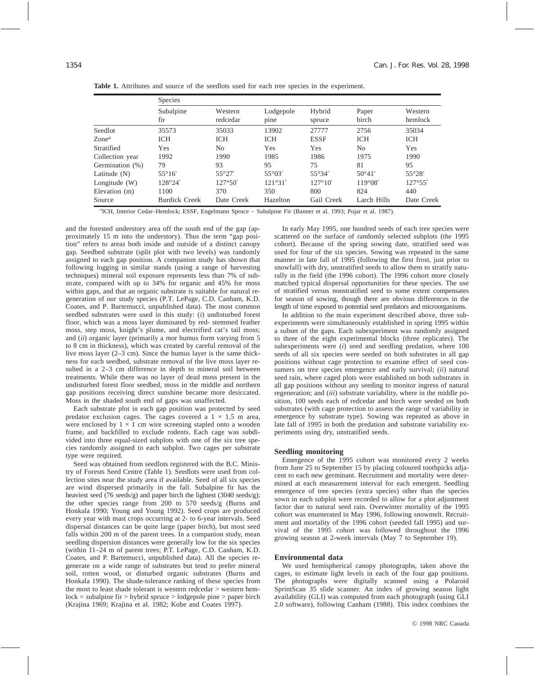|                   | Species              |                |                 |                  |                  |            |  |  |  |  |
|-------------------|----------------------|----------------|-----------------|------------------|------------------|------------|--|--|--|--|
|                   | Subalpine            | Western        | Lodgepole       | Hybrid           | Paper            | Western    |  |  |  |  |
|                   | fir                  | redcedar       | pine            | spruce           | birch            | hemlock    |  |  |  |  |
| Seedlot           | 35573                | 35033          | 13902           | 27777            | 2756             | 35034      |  |  |  |  |
| $\mathsf{Zone}^a$ | <b>ICH</b>           | <b>ICH</b>     | <b>ICH</b>      | <b>ESSF</b>      | <b>ICH</b>       | <b>ICH</b> |  |  |  |  |
| Stratified        | <b>Yes</b>           | N <sub>0</sub> | Yes             | <b>Yes</b>       | No.              | <b>Yes</b> |  |  |  |  |
| Collection year   | 1992                 | 1990           | 1985            | 1986             | 1975             | 1990       |  |  |  |  |
| Germination (%)   | 79                   | 93             | 95              | 75               | 81               | 95         |  |  |  |  |
| Latitude $(N)$    | $55^{\circ}16'$      | 55°27'         | $55^{\circ}03'$ | $55^\circ 34'$   | $50^{\circ}41'$  | 55°28'     |  |  |  |  |
| Longitude $(W)$   | 128°24'              | 127°50'        | 121°31'         | $127^{\circ}10'$ | $119^{\circ}08'$ | 127°55'    |  |  |  |  |
| Elevation (m)     | 1100                 | 370            | 350             | 800              | 824              | 440        |  |  |  |  |
| Source            | <b>Burdick Creek</b> | Date Creek     | Hazelton        | Gail Creek       | Larch Hills      | Date Creek |  |  |  |  |

**Table 1.** Attributes and source of the seedlots used for each tree species in the experiment.

*a* ICH, Interior Cedar–Hemlock; ESSF, Engelmann Spruce – Subalpine Fir (Banner et al. 1993; Pojar et al. 1987).

and the forested understory area off the south end of the gap (approximately 15 m into the understory). Thus the term "gap position" refers to areas both inside and outside of a distinct canopy gap. Seedbed substrate (split plot with two levels) was randomly assigned to each gap position. A companion study has shown that following logging in similar stands (using a range of harvesting techniques) mineral soil exposure represents less than 7% of substrate, compared with up to 34% for organic and 45% for moss within gaps, and that an organic substrate is suitable for natural regeneration of our study species (P.T. LePage, C.D. Canham, K.D. Coates, and P. Bartemucci, unpublished data). The most common seedbed substrates were used in this study: (*i*) undisturbed forest floor, which was a moss layer dominated by red- stemmed feather moss, step moss, knight's plume, and electrified cat's tail moss; and (*ii*) organic layer (primarily a mor humus form varying from 5 to 8 cm in thickness), which was created by careful removal of the live moss layer (2–3 cm). Since the humus layer is the same thickness for each seedbed, substrate removal of the live moss layer resulted in a 2–3 cm difference in depth to mineral soil between treatments. While there was no layer of dead moss present in the undisturbed forest floor seedbed, moss in the middle and northern gap positions receiving direct sunshine became more desiccated. Moss in the shaded south end of gaps was unaffected.

Each substrate plot in each gap position was protected by seed predator exclusion cages. The cages covered a  $1 \times 1.5$  m area, were enclosed by  $1 \times 1$  cm wire screening stapled onto a wooden frame, and backfilled to exclude rodents. Each cage was subdivided into three equal-sized subplots with one of the six tree species randomly assigned to each subplot. Two cages per substrate type were required.

Seed was obtained from seedlots registered with the B.C. Ministry of Forests Seed Centre (Table 1). Seedlots were used from collection sites near the study area if available. Seed of all six species are wind dispersed primarily in the fall. Subalpine fir has the heaviest seed (76 seeds/g) and paper birch the lightest (3040 seeds/g); the other species range from 200 to 570 seeds/g (Burns and Honkala 1990; Young and Young 1992). Seed crops are produced every year with mast crops occurring at 2- to 6-year intervals. Seed dispersal distances can be quite large (paper birch), but most seed falls within 200 m of the parent trees. In a companion study, mean seedling dispersion distances were generally low for the six species (within 11–24 m of parent trees; P.T. LePage, C.D. Canham, K.D. Coates, and P. Bartemucci, unpublished data). All the species regenerate on a wide range of substrates but tend to prefer mineral soil, rotten wood, or disturbed organic substrates (Burns and Honkala 1990). The shade-tolerance ranking of these species from the most to least shade tolerant is western redcedar > western hem $lock = subalpine$  fir  $> hybrid$  spruce  $>$  lodgepole pine  $>$  paper birch (Krajina 1969; Krajina et al. 1982; Kobe and Coates 1997).

In early May 1995, one hundred seeds of each tree species were scattered on the surface of randomly selected subplots (the 1995 cohort). Because of the spring sowing date, stratified seed was used for four of the six species. Sowing was repeated in the same manner in late fall of 1995 (following the first frost, just prior to snowfall) with dry, unstratified seeds to allow them to stratify naturally in the field (the 1996 cohort). The 1996 cohort more closely matched typical dispersal opportunities for these species. The use of stratified versus nonstratified seed to some extent compensates for season of sowing, though there are obvious differences in the length of time exposed to potential seed predators and microorganisms.

In addition to the main experiment described above, three subexperiments were simultaneously established in spring 1995 within a subset of the gaps. Each subexperiment was randomly assigned to three of the eight experimental blocks (three replicates). The subexperiments were (*i*) seed and seedling predation, where 100 seeds of all six species were seeded on both substrates in all gap positions without cage protection to examine effect of seed consumers on tree species emergence and early survival; (*ii*) natural seed rain, where caged plots were established on both substrates in all gap positions without any seeding to monitor ingress of natural regeneration; and (*iii*) substrate variability, where in the middle position, 100 seeds each of redcedar and birch were seeded on both substrates (with cage protection to assess the range of variability in emergence by substrate type). Sowing was repeated as above in late fall of 1995 in both the predation and substrate variability experiments using dry, unstratified seeds.

## **Seedling monitoring**

Emergence of the 1995 cohort was monitored every 2 weeks from June 25 to September 15 by placing coloured toothpicks adjacent to each new germinant. Recruitment and mortality were determined at each measurement interval for each emergent. Seedling emergence of tree species (extra species) other than the species sown in each subplot were recorded to allow for a plot adjustment factor due to natural seed rain. Overwinter mortality of the 1995 cohort was enumerated in May 1996, following snowmelt. Recruitment and mortality of the 1996 cohort (seeded fall 1995) and survival of the 1995 cohort was followed throughout the 1996 growing season at 2-week intervals (May 7 to September 19).

#### **Environmental data**

We used hemispherical canopy photographs, taken above the cages, to estimate light levels in each of the four gap positions. The photographs were digitally scanned using a Polaroid SprintScan 35 slide scanner. An index of growing season light availability (GLI) was computed from each photograph (using GLI 2.0 software), following Canham (1988). This index combines the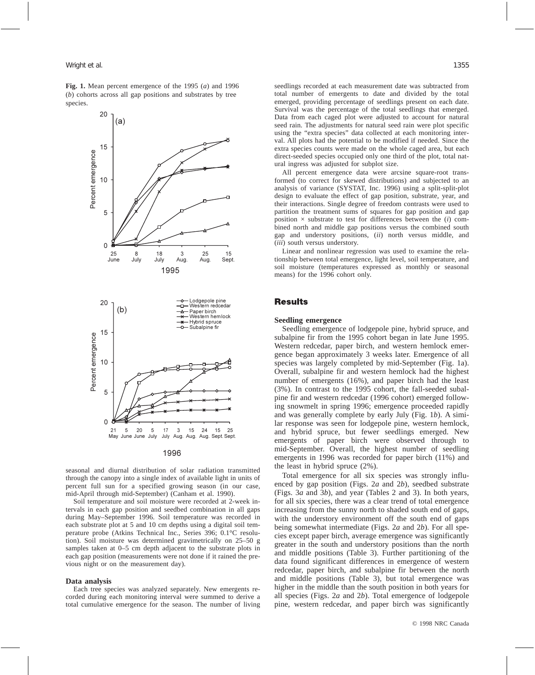20

**Fig. 1.** Mean percent emergence of the 1995 (*a*) and 1996 (*b*) cohorts across all gap positions and substrates by tree species.





seasonal and diurnal distribution of solar radiation transmitted through the canopy into a single index of available light in units of percent full sun for a specified growing season (in our case, mid-April through mid-September) (Canham et al. 1990).

Soil temperature and soil moisture were recorded at 2-week intervals in each gap position and seedbed combination in all gaps during May–September 1996. Soil temperature was recorded in each substrate plot at 5 and 10 cm depths using a digital soil temperature probe (Atkins Technical Inc., Series 396; 0.1°C resolution). Soil moisture was determined gravimetrically on 25–50 g samples taken at 0–5 cm depth adjacent to the substrate plots in each gap position (measurements were not done if it rained the previous night or on the measurement day).

#### **Data analysis**

Each tree species was analyzed separately. New emergents recorded during each monitoring interval were summed to derive a total cumulative emergence for the season. The number of living seedlings recorded at each measurement date was subtracted from total number of emergents to date and divided by the total emerged, providing percentage of seedlings present on each date. Survival was the percentage of the total seedlings that emerged. Data from each caged plot were adjusted to account for natural seed rain. The adjustments for natural seed rain were plot specific using the "extra species" data collected at each monitoring interval. All plots had the potential to be modified if needed. Since the extra species counts were made on the whole caged area, but each direct-seeded species occupied only one third of the plot, total natural ingress was adjusted for subplot size.

All percent emergence data were arcsine square-root transformed (to correct for skewed distributions) and subjected to an analysis of variance (SYSTAT, Inc. 1996) using a split-split-plot design to evaluate the effect of gap position, substrate, year, and their interactions. Single degree of freedom contrasts were used to partition the treatment sums of squares for gap position and gap position  $\times$  substrate to test for differences between the (*i*) combined north and middle gap positions versus the combined south gap and understory positions, (*ii*) north versus middle, and (*iii*) south versus understory.

Linear and nonlinear regression was used to examine the relationship between total emergence, light level, soil temperature, and soil moisture (temperatures expressed as monthly or seasonal means) for the 1996 cohort only.

# **Results**

#### **Seedling emergence**

Seedling emergence of lodgepole pine, hybrid spruce, and subalpine fir from the 1995 cohort began in late June 1995. Western redcedar, paper birch, and western hemlock emergence began approximately 3 weeks later. Emergence of all species was largely completed by mid-September (Fig. 1a). Overall, subalpine fir and western hemlock had the highest number of emergents (16%), and paper birch had the least (3%). In contrast to the 1995 cohort, the fall-seeded subalpine fir and western redcedar (1996 cohort) emerged following snowmelt in spring 1996; emergence proceeded rapidly and was generally complete by early July (Fig. 1*b*). A similar response was seen for lodgepole pine, western hemlock, and hybrid spruce, but fewer seedlings emerged. New emergents of paper birch were observed through to mid-September. Overall, the highest number of seedling emergents in 1996 was recorded for paper birch (11%) and the least in hybrid spruce (2%).

Total emergence for all six species was strongly influenced by gap position (Figs. 2*a* and 2*b*), seedbed substrate (Figs. 3*a* and 3*b*), and year (Tables 2 and 3). In both years, for all six species, there was a clear trend of total emergence increasing from the sunny north to shaded south end of gaps, with the understory environment off the south end of gaps being somewhat intermediate (Figs. 2*a* and 2*b*). For all species except paper birch, average emergence was significantly greater in the south and understory positions than the north and middle positions (Table 3). Further partitioning of the data found significant differences in emergence of western redcedar, paper birch, and subalpine fir between the north and middle positions (Table 3), but total emergence was higher in the middle than the south position in both years for all species (Figs. 2*a* and 2*b*). Total emergence of lodgepole pine, western redcedar, and paper birch was significantly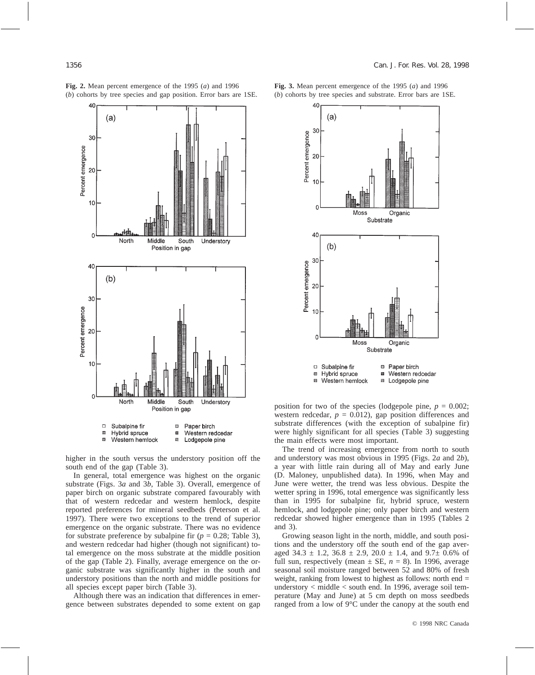

**Fig. 2.** Mean percent emergence of the 1995 (*a*) and 1996 (*b*) cohorts by tree species and gap position. Error bars are 1SE.

higher in the south versus the understory position off the south end of the gap (Table 3).

In general, total emergence was highest on the organic substrate (Figs. 3*a* and 3*b*, Table 3). Overall, emergence of paper birch on organic substrate compared favourably with that of western redcedar and western hemlock, despite reported preferences for mineral seedbeds (Peterson et al. 1997). There were two exceptions to the trend of superior emergence on the organic substrate. There was no evidence for substrate preference by subalpine fir  $(p = 0.28;$  Table 3), and western redcedar had higher (though not significant) total emergence on the moss substrate at the middle position of the gap (Table 2). Finally, average emergence on the organic substrate was significantly higher in the south and understory positions than the north and middle positions for all species except paper birch (Table 3).

Although there was an indication that differences in emergence between substrates depended to some extent on gap



position for two of the species (lodgepole pine,  $p = 0.002$ ; western redcedar,  $p = 0.012$ ), gap position differences and substrate differences (with the exception of subalpine fir) were highly significant for all species (Table 3) suggesting the main effects were most important.

The trend of increasing emergence from north to south and understory was most obvious in 1995 (Figs. 2*a* and 2*b*), a year with little rain during all of May and early June (D. Maloney, unpublished data). In 1996, when May and June were wetter, the trend was less obvious. Despite the wetter spring in 1996, total emergence was significantly less than in 1995 for subalpine fir, hybrid spruce, western hemlock, and lodgepole pine; only paper birch and western redcedar showed higher emergence than in 1995 (Tables 2 and 3).

Growing season light in the north, middle, and south positions and the understory off the south end of the gap averaged 34.3  $\pm$  1.2, 36.8  $\pm$  2.9, 20.0  $\pm$  1.4, and 9.7 $\pm$  0.6% of full sun, respectively (mean  $\pm$  SE,  $n = 8$ ). In 1996, average seasonal soil moisture ranged between 52 and 80% of fresh weight, ranking from lowest to highest as follows: north end = understory < middle < south end. In 1996, average soil temperature (May and June) at 5 cm depth on moss seedbeds ranged from a low of 9°C under the canopy at the south end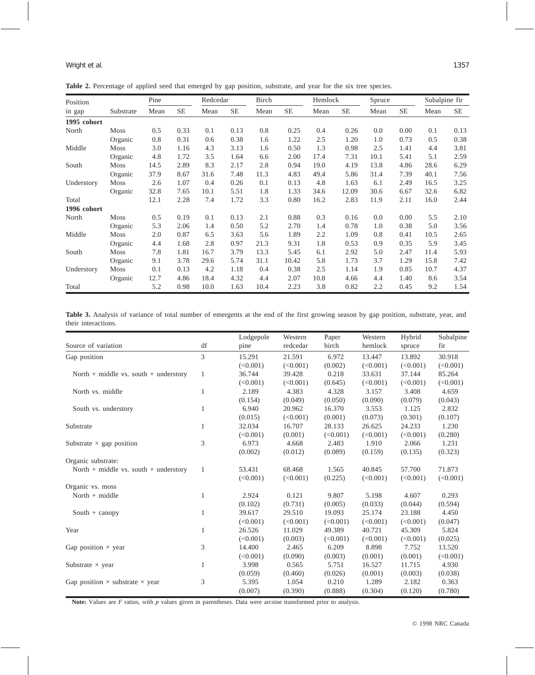| Position    |             | Pine |           | Redcedar |           | Birch |       | Hemlock |           | Spruce |           | Subalpine fir |           |
|-------------|-------------|------|-----------|----------|-----------|-------|-------|---------|-----------|--------|-----------|---------------|-----------|
| in gap      | Substrate   | Mean | <b>SE</b> | Mean     | <b>SE</b> | Mean  | SE    | Mean    | <b>SE</b> | Mean   | <b>SE</b> | Mean          | <b>SE</b> |
| 1995 cohort |             |      |           |          |           |       |       |         |           |        |           |               |           |
| North       | <b>Moss</b> | 0.5  | 0.33      | 0.1      | 0.13      | 0.8   | 0.25  | 0.4     | 0.26      | 0.0    | 0.00      | 0.1           | 0.13      |
|             | Organic     | 0.8  | 0.31      | 0.6      | 0.38      | 1.6   | 1.22  | 2.5     | 1.20      | 1.0    | 0.73      | 0.5           | 0.38      |
| Middle      | Moss        | 3.0  | 1.16      | 4.3      | 3.13      | 1.6   | 0.50  | 1.3     | 0.98      | 2.5    | 1.41      | 4.4           | 3.81      |
|             | Organic     | 4.8  | 1.72      | 3.5      | 1.64      | 6.6   | 2.00  | 17.4    | 7.31      | 10.1   | 5.41      | 5.1           | 2.59      |
| South       | Moss        | 14.5 | 2.89      | 8.3      | 2.17      | 2.8   | 0.94  | 19.0    | 4.19      | 13.8   | 4.86      | 28.6          | 6.29      |
|             | Organic     | 37.9 | 8.67      | 31.6     | 7.48      | 11.3  | 4.83  | 49.4    | 5.86      | 31.4   | 7.39      | 40.1          | 7.56      |
| Understory  | Moss        | 2.6  | 1.07      | 0.4      | 0.26      | 0.1   | 0.13  | 4.8     | 1.63      | 6.1    | 2.49      | 16.5          | 3.25      |
|             | Organic     | 32.8 | 7.65      | 10.1     | 5.51      | 1.8   | 1.33  | 34.6    | 12.09     | 30.6   | 6.67      | 32.6          | 6.82      |
| Total       |             | 12.1 | 2.28      | 7.4      | 1.72      | 3.3   | 0.80  | 16.2    | 2.83      | 11.9   | 2.11      | 16.0          | 2.44      |
| 1996 cohort |             |      |           |          |           |       |       |         |           |        |           |               |           |
| North       | Moss        | 0.5  | 0.19      | 0.1      | 0.13      | 2.1   | 0.88  | 0.3     | 0.16      | 0.0    | 0.00      | 5.5           | 2.10      |
|             | Organic     | 5.3  | 2.06      | 1.4      | 0.50      | 5.2   | 2.70  | 1.4     | 0.78      | 1.0    | 0.38      | 5.0           | 3.56      |
| Middle      | Moss        | 2.0  | 0.87      | 6.5      | 3.63      | 5.6   | 1.89  | 2.2     | 1.09      | 0.8    | 0.41      | 10.5          | 2.65      |
|             | Organic     | 4.4  | 1.68      | 2.8      | 0.97      | 21.3  | 9.31  | 1.8     | 0.53      | 0.9    | 0.35      | 5.9           | 3.45      |
| South       | <b>Moss</b> | 7.8  | 1.81      | 16.7     | 3.79      | 13.3  | 5.45  | 6.1     | 2.92      | 5.0    | 2.47      | 11.4          | 5.93      |
|             | Organic     | 9.1  | 3.78      | 29.6     | 5.74      | 31.1  | 10.42 | 5.8     | 1.73      | 3.7    | 1.29      | 15.8          | 7.42      |
| Understory  | <b>Moss</b> | 0.1  | 0.13      | 4.2      | 1.18      | 0.4   | 0.38  | 2.5     | 1.14      | 1.9    | 0.85      | 10.7          | 4.37      |
|             | Organic     | 12.7 | 4.86      | 18.4     | 4.32      | 4.4   | 2.07  | 10.8    | 4.66      | 4.4    | 1.40      | 8.6           | 3.54      |
| Total       |             | 5.2  | 0.98      | 10.0     | 1.63      | 10.4  | 2.23  | 3.8     | 0.82      | 2.2    | 0.45      | 9.2           | 1.54      |

**Table 2.** Percentage of applied seed that emerged by gap position, substrate, and year for the six tree species.

**Table 3.** Analysis of variance of total number of emergents at the end of the first growing season by gap position, substrate, year, and their interactions.

|                                               |              | Lodgepole | Western  | Paper    | Western  | Hybrid   | Subalpine |
|-----------------------------------------------|--------------|-----------|----------|----------|----------|----------|-----------|
| Source of variation                           | df           | pine      | redcedar | birch    | hemlock  | spruce   | fir       |
| Gap position                                  | 3            | 15.291    | 21.591   | 6.972    | 13.447   | 13.892   | 30.918    |
|                                               |              | (<0.001)  | (<0.001) | (0.002)  | (<0.001) | (<0.001) | (<0.001)  |
| North $+$ middle vs. south $+$ understory     | 1            | 36.744    | 39.428   | 0.218    | 33.631   | 37.144   | 85.264    |
|                                               |              | (<0.001)  | (<0.001) | (0.645)  | (<0.001) | (<0.001) | (<0.001)  |
| North vs. middle                              | 1            | 2.189     | 4.383    | 4.328    | 3.157    | 3.408    | 4.659     |
|                                               |              | (0.154)   | (0.049)  | (0.050)  | (0.090)  | (0.079)  | (0.043)   |
| South vs. understory                          | 1            | 6.940     | 20.962   | 16.370   | 3.553    | 1.125    | 2.832     |
|                                               |              | (0.015)   | (<0.001) | (0.001)  | (0.073)  | (0.301)  | (0.107)   |
| Substrate                                     | 1            | 32.034    | 16.707   | 28.133   | 26.625   | 24.233   | 1.230     |
|                                               |              | (<0.001)  | (0.001)  | (<0.001) | (<0.001) | (<0.001) | (0.280)   |
| Substrate $\times$ gap position               | 3            | 6.973     | 4.668    | 2.483    | 1.910    | 2.066    | 1.231     |
|                                               |              | (0.002)   | (0.012)  | (0.089)  | (0.159)  | (0.135)  | (0.323)   |
| Organic substrate:                            |              |           |          |          |          |          |           |
| North $+$ middle vs. south $+$ understory     | 1            | 53.431    | 68.468   | 1.565    | 40.845   | 57.700   | 71.873    |
|                                               |              | (<0.001)  | (<0.001) | (0.225)  | (<0.001) | (<0.001) | (<0.001)  |
| Organic vs. moss                              |              |           |          |          |          |          |           |
| North $+$ middle                              | 1            | 2.924     | 0.121    | 9.807    | 5.198    | 4.607    | 0.293     |
|                                               |              | (0.102)   | (0.731)  | (0.005)  | (0.033)  | (0.044)  | (0.594)   |
| South $+$ canopy                              | 1            | 39.617    | 29.510   | 19.093   | 25.174   | 23.188   | 4.450     |
|                                               |              | (<0.001)  | (<0.001) | (<0.001) | (<0.001) | (<0.001) | (0.047)   |
| Year                                          | $\mathbf{1}$ | 26.526    | 11.029   | 49.389   | 40.721   | 45.309   | 5.824     |
|                                               |              | (<0.001)  | (0.003)  | (<0.001) | (<0.001) | (<0.001) | (0.025)   |
| Gap position $\times$ year                    | 3            | 14.400    | 2.465    | 6.209    | 8.898    | 7.752    | 13.520    |
|                                               |              | (<0.001)  | (0.090)  | (0.003)  | (0.001)  | (0.001)  | (<0.001)  |
| Substrate $\times$ year                       | 1            | 3.998     | 0.565    | 5.751    | 16.527   | 11.715   | 4.930     |
|                                               |              | (0.059)   | (0.460)  | (0.026)  | (0.001)  | (0.003)  | (0.038)   |
| Gap position $\times$ substrate $\times$ year | 3            | 5.395     | 1.054    | 0.210    | 1.289    | 2.182    | 0.363     |
|                                               |              | (0.007)   | (0.390)  | (0.888)  | (0.304)  | (0.120)  | (0.780)   |

**Note:** Values are *F* ratios, with *p* values given in parentheses. Data were arcsine transformed prior to analysis.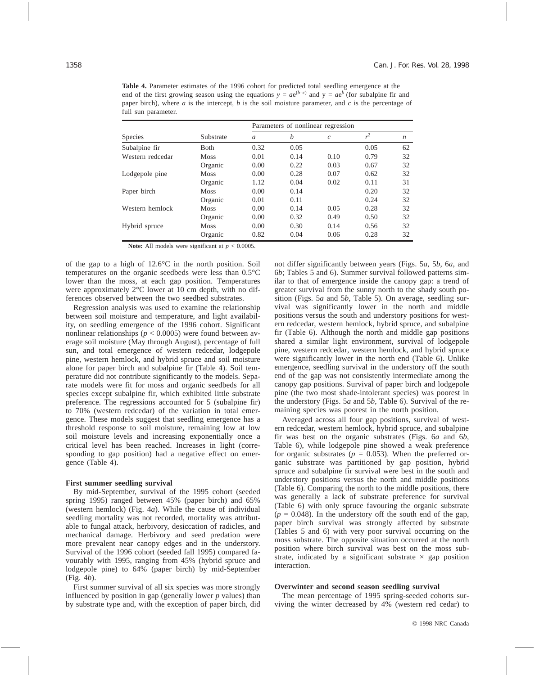**Table 4.** Parameter estimates of the 1996 cohort for predicted total seedling emergence at the end of the first growing season using the equations  $y = ae^{(b-c)}$  and  $y = ae^b$  (for subalpine fir and paper birch), where *a* is the intercept, *b* is the soil moisture parameter, and *c* is the percentage of full sun parameter.

|                  |             | Parameters of nonlinear regression |                  |               |       |                  |  |
|------------------|-------------|------------------------------------|------------------|---------------|-------|------------------|--|
| Species          | Substrate   | a                                  | $\boldsymbol{b}$ | $\mathcal{C}$ | $r^2$ | $\boldsymbol{n}$ |  |
| Subalpine fir    | Both        | 0.32                               | 0.05             |               | 0.05  | 62               |  |
| Western redcedar | <b>Moss</b> | 0.01                               | 0.14             | 0.10          | 0.79  | 32               |  |
|                  | Organic     | 0.00                               | 0.22             | 0.03          | 0.67  | 32               |  |
| Lodgepole pine   | <b>Moss</b> | 0.00                               | 0.28             | 0.07          | 0.62  | 32               |  |
|                  | Organic     | 1.12                               | 0.04             | 0.02          | 0.11  | 31               |  |
| Paper birch      | <b>Moss</b> | 0.00                               | 0.14             |               | 0.20  | 32               |  |
|                  | Organic     | 0.01                               | 0.11             |               | 0.24  | 32               |  |
| Western hemlock  | <b>Moss</b> | 0.00                               | 0.14             | 0.05          | 0.28  | 32               |  |
|                  | Organic     | 0.00                               | 0.32             | 0.49          | 0.50  | 32               |  |
| Hybrid spruce    | <b>Moss</b> | 0.00                               | 0.30             | 0.14          | 0.56  | 32               |  |
|                  | Organic     | 0.82                               | 0.04             | 0.06          | 0.28  | 32               |  |

**Note:** All models were significant at *p* < 0.0005.

of the gap to a high of 12.6°C in the north position. Soil temperatures on the organic seedbeds were less than 0.5°C lower than the moss, at each gap position. Temperatures were approximately 2°C lower at 10 cm depth, with no differences observed between the two seedbed substrates.

Regression analysis was used to examine the relationship between soil moisture and temperature, and light availability, on seedling emergence of the 1996 cohort. Significant nonlinear relationships ( $p < 0.0005$ ) were found between average soil moisture (May through August), percentage of full sun, and total emergence of western redcedar, lodgepole pine, western hemlock, and hybrid spruce and soil moisture alone for paper birch and subalpine fir (Table 4). Soil temperature did not contribute significantly to the models. Separate models were fit for moss and organic seedbeds for all species except subalpine fir, which exhibited little substrate preference. The regressions accounted for 5 (subalpine fir) to 70% (western redcedar) of the variation in total emergence. These models suggest that seedling emergence has a threshold response to soil moisture, remaining low at low soil moisture levels and increasing exponentially once a critical level has been reached. Increases in light (corresponding to gap position) had a negative effect on emergence (Table 4).

#### **First summer seedling survival**

By mid-September, survival of the 1995 cohort (seeded spring 1995) ranged between 45% (paper birch) and 65% (western hemlock) (Fig. 4*a*). While the cause of individual seedling mortality was not recorded, mortality was attributable to fungal attack, herbivory, desiccation of radicles, and mechanical damage. Herbivory and seed predation were more prevalent near canopy edges and in the understory. Survival of the 1996 cohort (seeded fall 1995) compared favourably with 1995, ranging from 45% (hybrid spruce and lodgepole pine) to 64% (paper birch) by mid-September (Fig. 4*b*).

First summer survival of all six species was more strongly influenced by position in gap (generally lower *p* values) than by substrate type and, with the exception of paper birch, did not differ significantly between years (Figs. 5*a*, 5*b*, 6*a*, and 6*b*; Tables 5 and 6). Summer survival followed patterns similar to that of emergence inside the canopy gap: a trend of greater survival from the sunny north to the shady south position (Figs. 5*a* and 5*b*, Table 5). On average, seedling survival was significantly lower in the north and middle positions versus the south and understory positions for western redcedar, western hemlock, hybrid spruce, and subalpine fir (Table 6). Although the north and middle gap positions shared a similar light environment, survival of lodgepole pine, western redcedar, western hemlock, and hybrid spruce were significantly lower in the north end (Table 6). Unlike emergence, seedling survival in the understory off the south end of the gap was not consistently intermediate among the canopy gap positions. Survival of paper birch and lodgepole pine (the two most shade-intolerant species) was poorest in the understory (Figs. 5*a* and 5*b*, Table 6). Survival of the remaining species was poorest in the north position.

Averaged across all four gap positions, survival of western redcedar, western hemlock, hybrid spruce, and subalpine fir was best on the organic substrates (Figs. 6*a* and 6*b*, Table 6), while lodgepole pine showed a weak preference for organic substrates ( $p = 0.053$ ). When the preferred organic substrate was partitioned by gap position, hybrid spruce and subalpine fir survival were best in the south and understory positions versus the north and middle positions (Table 6). Comparing the north to the middle positions, there was generally a lack of substrate preference for survival (Table 6) with only spruce favouring the organic substrate  $(p = 0.048)$ . In the understory off the south end of the gap, paper birch survival was strongly affected by substrate (Tables 5 and 6) with very poor survival occurring on the moss substrate. The opposite situation occurred at the north position where birch survival was best on the moss substrate, indicated by a significant substrate  $\times$  gap position interaction.

## **Overwinter and second season seedling survival**

The mean percentage of 1995 spring-seeded cohorts surviving the winter decreased by 4% (western red cedar) to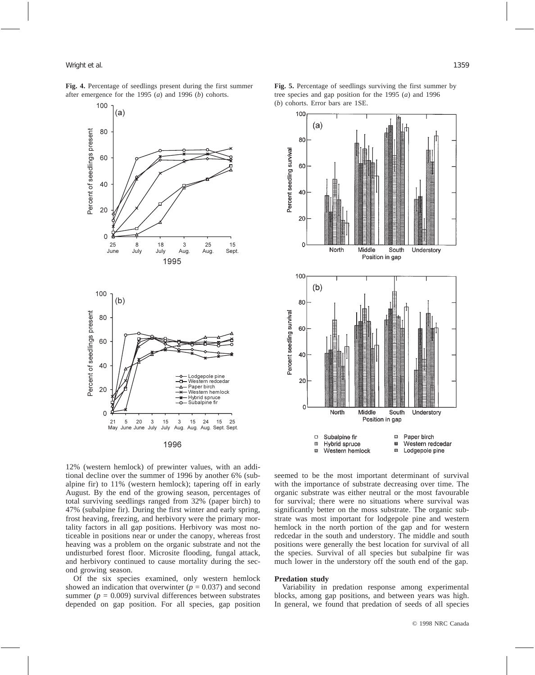

**Fig. 4.** Percentage of seedlings present during the first summer after emergence for the 1995 (*a*) and 1996 (*b*) cohorts.

12% (western hemlock) of prewinter values, with an additional decline over the summer of 1996 by another 6% (subalpine fir) to 11% (western hemlock); tapering off in early August. By the end of the growing season, percentages of total surviving seedlings ranged from 32% (paper birch) to 47% (subalpine fir). During the first winter and early spring, frost heaving, freezing, and herbivory were the primary mortality factors in all gap positions. Herbivory was most noticeable in positions near or under the canopy, whereas frost heaving was a problem on the organic substrate and not the undisturbed forest floor. Microsite flooding, fungal attack, and herbivory continued to cause mortality during the second growing season.

Of the six species examined, only western hemlock showed an indication that overwinter  $(p = 0.037)$  and second summer  $(p = 0.009)$  survival differences between substrates depended on gap position. For all species, gap position

**Fig. 5.** Percentage of seedlings surviving the first summer by tree species and gap position for the 1995 (*a*) and 1996 (*b*) cohorts. Error bars are 1SE.



seemed to be the most important determinant of survival with the importance of substrate decreasing over time. The organic substrate was either neutral or the most favourable for survival; there were no situations where survival was significantly better on the moss substrate. The organic substrate was most important for lodgepole pine and western hemlock in the north portion of the gap and for western redcedar in the south and understory. The middle and south positions were generally the best location for survival of all the species. Survival of all species but subalpine fir was much lower in the understory off the south end of the gap.

## **Predation study**

Variability in predation response among experimental blocks, among gap positions, and between years was high. In general, we found that predation of seeds of all species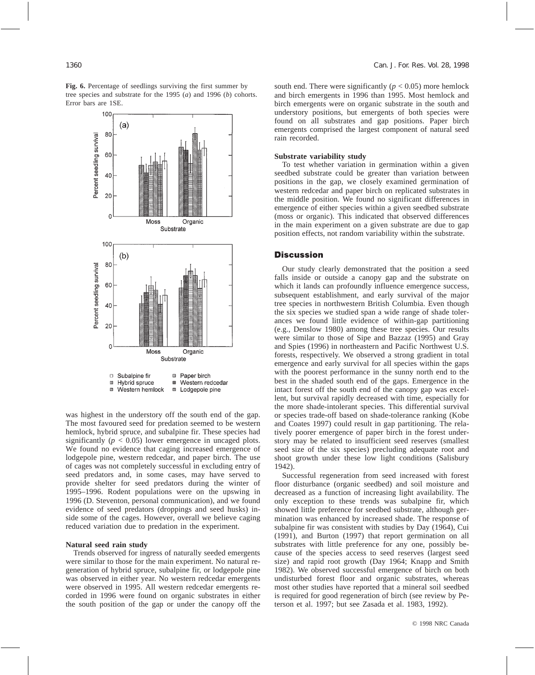**Fig. 6.** Percentage of seedlings surviving the first summer by tree species and substrate for the 1995 (*a*) and 1996 (*b*) cohorts. Error bars are 1SE.



was highest in the understory off the south end of the gap. The most favoured seed for predation seemed to be western hemlock, hybrid spruce, and subalpine fir. These species had significantly  $(p < 0.05)$  lower emergence in uncaged plots. We found no evidence that caging increased emergence of lodgepole pine, western redcedar, and paper birch. The use of cages was not completely successful in excluding entry of seed predators and, in some cases, may have served to provide shelter for seed predators during the winter of 1995–1996. Rodent populations were on the upswing in 1996 (D. Steventon, personal communication), and we found evidence of seed predators (droppings and seed husks) inside some of the cages. However, overall we believe caging reduced variation due to predation in the experiment.

#### **Natural seed rain study**

Trends observed for ingress of naturally seeded emergents were similar to those for the main experiment. No natural regeneration of hybrid spruce, subalpine fir, or lodgepole pine was observed in either year. No western redcedar emergents were observed in 1995. All western redcedar emergents recorded in 1996 were found on organic substrates in either the south position of the gap or under the canopy off the south end. There were significantly  $(p < 0.05)$  more hemlock and birch emergents in 1996 than 1995. Most hemlock and birch emergents were on organic substrate in the south and understory positions, but emergents of both species were found on all substrates and gap positions. Paper birch emergents comprised the largest component of natural seed rain recorded.

## **Substrate variability study**

To test whether variation in germination within a given seedbed substrate could be greater than variation between positions in the gap, we closely examined germination of western redcedar and paper birch on replicated substrates in the middle position. We found no significant differences in emergence of either species within a given seedbed substrate (moss or organic). This indicated that observed differences in the main experiment on a given substrate are due to gap position effects, not random variability within the substrate.

## **Discussion**

Our study clearly demonstrated that the position a seed falls inside or outside a canopy gap and the substrate on which it lands can profoundly influence emergence success, subsequent establishment, and early survival of the major tree species in northwestern British Columbia. Even though the six species we studied span a wide range of shade tolerances we found little evidence of within-gap partitioning (e.g., Denslow 1980) among these tree species. Our results were similar to those of Sipe and Bazzaz (1995) and Gray and Spies (1996) in northeastern and Pacific Northwest U.S. forests, respectively. We observed a strong gradient in total emergence and early survival for all species within the gaps with the poorest performance in the sunny north end to the best in the shaded south end of the gaps. Emergence in the intact forest off the south end of the canopy gap was excellent, but survival rapidly decreased with time, especially for the more shade-intolerant species. This differential survival or species trade-off based on shade-tolerance ranking (Kobe and Coates 1997) could result in gap partitioning. The relatively poorer emergence of paper birch in the forest understory may be related to insufficient seed reserves (smallest seed size of the six species) precluding adequate root and shoot growth under these low light conditions (Salisbury 1942).

Successful regeneration from seed increased with forest floor disturbance (organic seedbed) and soil moisture and decreased as a function of increasing light availability. The only exception to these trends was subalpine fir, which showed little preference for seedbed substrate, although germination was enhanced by increased shade. The response of subalpine fir was consistent with studies by Day (1964), Cui (1991), and Burton (1997) that report germination on all substrates with little preference for any one, possibly because of the species access to seed reserves (largest seed size) and rapid root growth (Day 1964; Knapp and Smith 1982). We observed successful emergence of birch on both undisturbed forest floor and organic substrates, whereas most other studies have reported that a mineral soil seedbed is required for good regeneration of birch (see review by Peterson et al. 1997; but see Zasada et al. 1983, 1992).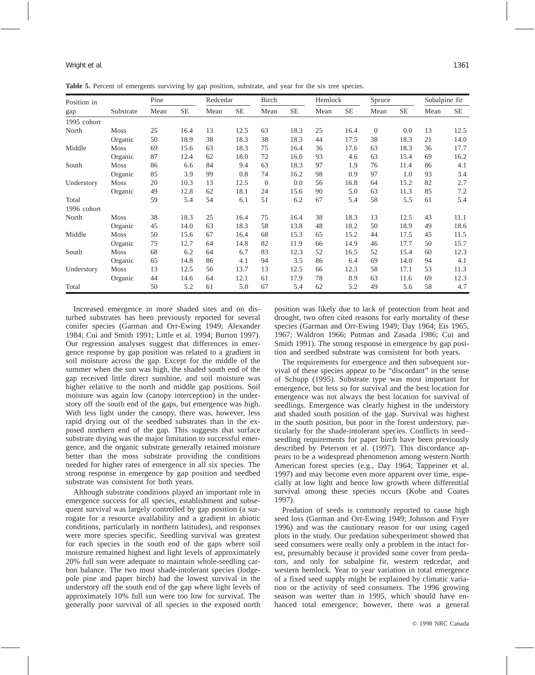**Table 5.** Percent of emergents surviving by gap position, substrate, and year for the six tree species.

| Position in |             | Pine |           | Redcedar |           | Birch        |           | Hemlock |           | Spruce         |           | Subalpine fir |           |
|-------------|-------------|------|-----------|----------|-----------|--------------|-----------|---------|-----------|----------------|-----------|---------------|-----------|
| gap         | Substrate   | Mean | <b>SE</b> | Mean     | <b>SE</b> | Mean         | <b>SE</b> | Mean    | <b>SE</b> | Mean           | <b>SE</b> | Mean          | <b>SE</b> |
| 1995 cohort |             |      |           |          |           |              |           |         |           |                |           |               |           |
| North       | <b>Moss</b> | 25   | 16.4      | 13       | 12.5      | 63           | 18.3      | 25      | 16.4      | $\overline{0}$ | 0.0       | 13            | 12.5      |
|             | Organic     | 50   | 18.9      | 38       | 18.3      | 38           | 18.3      | 44      | 17.5      | 38             | 18.3      | 21            | 14.0      |
| Middle      | <b>Moss</b> | 69   | 15.6      | 63       | 18.3      | 75           | 16.4      | 36      | 17.6      | 63             | 18.3      | 36            | 17.7      |
|             | Organic     | 87   | 12.4      | 62       | 18.0      | 72           | 16.0      | 93      | 4.6       | 63             | 15.4      | 69            | 16.2      |
| South       | <b>Moss</b> | 86   | 6.6       | 84       | 9.4       | 63           | 18.3      | 97      | 1.9       | 76             | 11.4      | 86            | 4.1       |
|             | Organic     | 85   | 3.9       | 99       | 0.8       | 74           | 16.2      | 98      | 0.9       | 97             | 1.0       | 93            | 3.4       |
| Understory  | Moss        | 20   | 10.3      | 13       | 12.5      | $\mathbf{0}$ | 0.0       | 56      | 16.8      | 64             | 15.2      | 82            | 2.7       |
|             | Organic     | 49   | 12.8      | 62       | 18.1      | 24           | 15.6      | 90      | 5.0       | 63             | 11.3      | 85            | 7.2       |
| Total       |             | 59   | 5.4       | 54       | 6.1       | 51           | 6.2       | 67      | 5.4       | 58             | 5.5       | 61            | 5.4       |
| 1996 cohort |             |      |           |          |           |              |           |         |           |                |           |               |           |
| North       | Moss        | 38   | 18.3      | 25       | 16.4      | 75           | 16.4      | 38      | 18.3      | 13             | 12.5      | 43            | 11.1      |
|             | Organic     | 45   | 14.0      | 63       | 18.3      | 58           | 13.8      | 48      | 18.2      | 50             | 18.9      | 49            | 18.6      |
| Middle      | <b>Moss</b> | 50   | 15.6      | 67       | 16.4      | 68           | 15.3      | 65      | 15.2      | 44             | 17.5      | 45            | 11.5      |
|             | Organic     | 75   | 12.7      | 64       | 14.8      | 82           | 11.9      | 66      | 14.9      | 46             | 17.7      | 50            | 15.7      |
| South       | Moss        | 68   | 6.2       | 64       | 6.7       | 83           | 12.3      | 52      | 16.5      | 52             | 15.4      | 60            | 12.3      |
|             | Organic     | 65   | 14.8      | 86       | 4.1       | 94           | 3.5       | 86      | 6.4       | 69             | 14.0      | 94            | 4.1       |
| Understory  | Moss        | 13   | 12.5      | 56       | 13.7      | 13           | 12.5      | 66      | 12.3      | 58             | 17.1      | 53            | 11.3      |
|             | Organic     | 44   | 14.6      | 64       | 12.1      | 61           | 17.9      | 78      | 8.9       | 63             | 11.6      | 69            | 12.3      |
| Total       |             | 50   | 5.2       | 61       | 5.0       | 67           | 5.4       | 62      | 5.2       | 49             | 5.6       | 58            | 4.7       |

Increased emergence in more shaded sites and on disturbed substrates has been previously reported for several conifer species (Garman and Orr-Ewing 1949; Alexander 1984; Cui and Smith 1991; Little et al. 1994; Burton 1997). Our regression analyses suggest that differences in emergence response by gap position was related to a gradient in soil moisture across the gap. Except for the middle of the summer when the sun was high, the shaded south end of the gap received little direct sunshine, and soil moisture was higher relative to the north and middle gap positions. Soil moisture was again low (canopy interception) in the understory off the south end of the gaps, but emergence was high. With less light under the canopy, there was, however, less rapid drying out of the seedbed substrates than in the exposed northern end of the gap. This suggests that surface substrate drying was the major limitation to successful emergence, and the organic substrate generally retained moisture better than the moss substrate providing the conditions needed for higher rates of emergence in all six species. The strong response in emergence by gap position and seedbed substrate was consistent for both years.

Although substrate conditions played an important role in emergence success for all species, establishment and subsequent survival was largely controlled by gap position (a surrogate for a resource availability and a gradient in abiotic conditions, particularly in northern latitudes), and responses were more species specific. Seedling survival was greatest for each species in the south end of the gaps where soil moisture remained highest and light levels of approximately 20% full sun were adequate to maintain whole-seedling carbon balance. The two most shade-intolerant species (lodgepole pine and paper birch) had the lowest survival in the understory off the south end of the gap where light levels of approximately 10% full sun were too low for survival. The generally poor survival of all species in the exposed north

position was likely due to lack of protection from heat and drought, two often cited reasons for early mortality of these species (Garman and Orr-Ewing 1949; Day 1964; Eis 1965, 1967; Waldron 1966; Putman and Zasada 1986; Cui and Smith 1991). The strong response in emergence by gap position and seedbed substrate was consistent for both years.

The requirements for emergence and then subsequent survival of these species appear to be "discordant" in the sense of Schupp (1995). Substrate type was most important for emergence, but less so for survival and the best location for emergence was not always the best location for survival of seedlings. Emergence was clearly highest in the understory and shaded south position of the gap. Survival was highest in the south position, but poor in the forest understory, particularly for the shade-intolerant species. Conflicts in seed– seedling requirements for paper birch have been previously described by Peterson et al. (1997). This discordance appears to be a widespread phenomenon among western North American forest species (e.g., Day 1964; Tappeiner et al. 1997) and may become even more apparent over time, especially at low light and hence low growth where differential survival among these species occurs (Kobe and Coates 1997).

Predation of seeds is commonly reported to cause high seed loss (Garman and Orr-Ewing 1949; Johnson and Fryer 1996) and was the cautionary reason for our using caged plots in the study. Our predation subexperiment showed that seed consumers were really only a problem in the intact forest, presumably because it provided some cover from predators, and only for subalpine fir, western redcedar, and western hemlock. Year to year variation in total emergence of a fixed seed supply might be explained by climatic variation or the activity of seed consumers. The 1996 growing season was wetter than in 1995, which should have enhanced total emergence; however, there was a general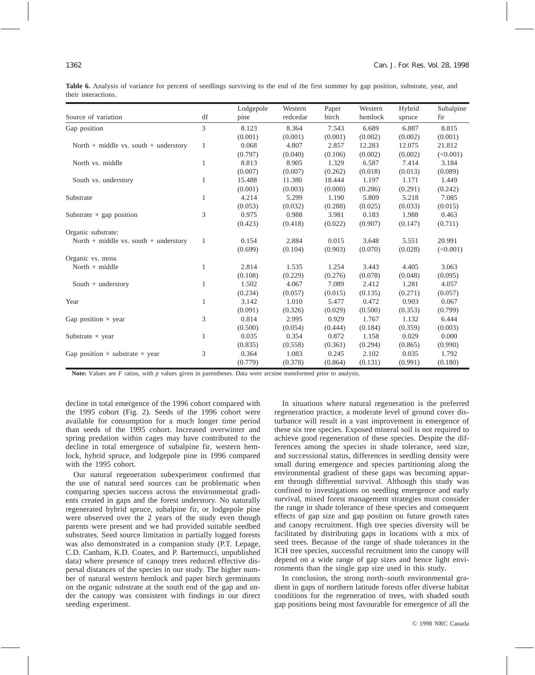|                                               |    | Lodgepole | Western  | Paper   | Western | Hybrid  | Subalpine |
|-----------------------------------------------|----|-----------|----------|---------|---------|---------|-----------|
| Source of variation                           | df | pine      | redcedar | birch   | hemlock | spruce  | fir       |
| Gap position                                  | 3  | 8.123     | 8.364    | 7.543   | 6.689   | 6.887   | 8.815     |
|                                               |    | (0.001)   | (0.001)  | (0.001) | (0.002) | (0.002) | (0.001)   |
| North $+$ middle vs. south $+$ understory     | 1  | 0.068     | 4.807    | 2.857   | 12.283  | 12.075  | 21.812    |
|                                               |    | (0.797)   | (0.040)  | (0.106) | (0.002) | (0.002) | (<0.001)  |
| North vs. middle                              | 1  | 8.813     | 8.905    | 1.329   | 6.587   | 7.414   | 3.184     |
|                                               |    | (0.007)   | (0.007)  | (0.262) | (0.018) | (0.013) | (0.089)   |
| South vs. understory                          | 1  | 15.488    | 11.380   | 18.444  | 1.197   | 1.171   | 1.449     |
|                                               |    | (0.001)   | (0.003)  | (0.000) | (0.286) | (0.291) | (0.242)   |
| Substrate                                     |    | 4.214     | 5.299    | 1.190   | 5.809   | 5.218   | 7.085     |
|                                               |    | (0.053)   | (0.032)  | (0.288) | (0.025) | (0.033) | (0.015)   |
| Substrate $\times$ gap position               | 3  | 0.975     | 0.988    | 3.981   | 0.183   | 1.988   | 0.463     |
|                                               |    | (0.423)   | (0.418)  | (0.022) | (0.907) | (0.147) | (0.711)   |
| Organic substrate:                            |    |           |          |         |         |         |           |
| North $+$ middle vs. south $+$ understory     | 1  | 0.154     | 2.884    | 0.015   | 3.648   | 5.551   | 20.991    |
|                                               |    | (0.699)   | (0.104)  | (0.903) | (0.070) | (0.028) | (<0.001)  |
| Organic vs. moss                              |    |           |          |         |         |         |           |
| North $+$ middle                              | 1  | 2.814     | 1.535    | 1.254   | 3.443   | 4.405   | 3.063     |
|                                               |    | (0.108)   | (0.229)  | (0.276) | (0.078) | (0.048) | (0.095)   |
| South $+$ understory                          | 1  | 1.502     | 4.067    | 7.089   | 2.412   | 1.281   | 4.057     |
|                                               |    | (0.234)   | (0.057)  | (0.015) | (0.135) | (0.271) | (0.057)   |
| Year                                          | 1  | 3.142     | 1.010    | 5.477   | 0.472   | 0.903   | 0.067     |
|                                               |    | (0.091)   | (0.326)  | (0.029) | (0.500) | (0.353) | (0.799)   |
| Gap position $\times$ year                    | 3  | 0.814     | 2.995    | 0.929   | 1.767   | 1.132   | 6.444     |
|                                               |    | (0.500)   | (0.054)  | (0.444) | (0.184) | (0.359) | (0.003)   |
| Substrate $\times$ year                       | 1  | 0.035     | 0.354    | 0.872   | 1.158   | 0.029   | 0.000     |
|                                               |    | (0.835)   | (0.558)  | (0.361) | (0.294) | (0.865) | (0.990)   |
| Gap position $\times$ substrate $\times$ year | 3  | 0.364     | 1.083    | 0.245   | 2.102   | 0.035   | 1.792     |
|                                               |    | (0.779)   | (0.378)  | (0.864) | (0.131) | (0.991) | (0.180)   |

**Table 6.** Analysis of variance for percent of seedlings surviving to the end of the first summer by gap position, substrate, year, and their interactions.

**Note:** Values are *F* ratios, with *p* values given in parentheses. Data were arcsine transformed prior to analysis.

decline in total emergence of the 1996 cohort compared with the 1995 cohort (Fig. 2). Seeds of the 1996 cohort were available for consumption for a much longer time period than seeds of the 1995 cohort. Increased overwinter and spring predation within cages may have contributed to the decline in total emergence of subalpine fir, western hemlock, hybrid spruce, and lodgepole pine in 1996 compared with the 1995 cohort.

Our natural regeneration subexperiment confirmed that the use of natural seed sources can be problematic when comparing species success across the environmental gradients created in gaps and the forest understory. No naturally regenerated hybrid spruce, subalpine fir, or lodgepole pine were observed over the 2 years of the study even though parents were present and we had provided suitable seedbed substrates. Seed source limitation in partially logged forests was also demonstrated in a companion study (P.T. Lepage, C.D. Canham, K.D. Coates, and P. Bartemucci, unpublished data) where presence of canopy trees reduced effective dispersal distances of the species in our study. The higher number of natural western hemlock and paper birch germinants on the organic substrate at the south end of the gap and under the canopy was consistent with findings in our direct seeding experiment.

In situations where natural regeneration is the preferred regeneration practice, a moderate level of ground cover disturbance will result in a vast improvement in emergence of these six tree species. Exposed mineral soil is not required to achieve good regeneration of these species. Despite the differences among the species in shade tolerance, seed size, and successional status, differences in seedling density were small during emergence and species partitioning along the environmental gradient of these gaps was becoming apparent through differential survival. Although this study was confined to investigations on seedling emergence and early survival, mixed forest management strategies must consider the range in shade tolerance of these species and consequent effects of gap size and gap position on future growth rates and canopy recruitment. High tree species diversity will be facilitated by distributing gaps in locations with a mix of seed trees. Because of the range of shade tolerances in the ICH tree species, successful recruitment into the canopy will depend on a wide range of gap sizes and hence light environments than the single gap size used in this study.

In conclusion, the strong north–south environmental gradient in gaps of northern latitude forests offer diverse habitat conditions for the regeneration of trees, with shaded south gap positions being most favourable for emergence of all the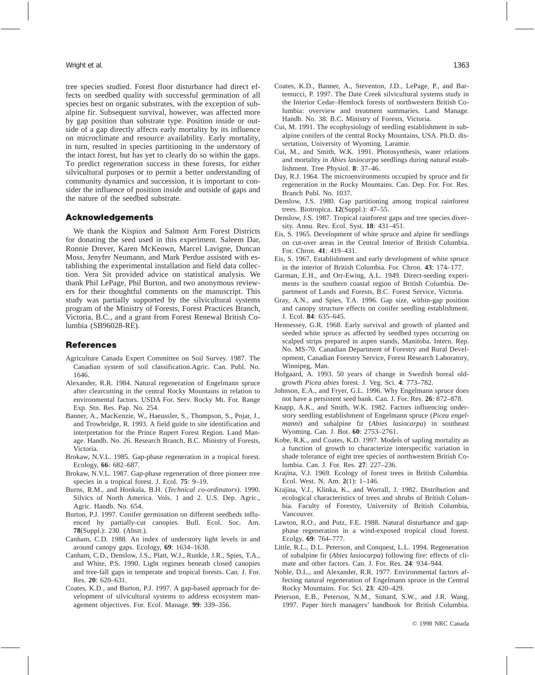tree species studied. Forest floor disturbance had direct effects on seedbed quality with successful germination of all species best on organic substrates, with the exception of subalpine fir. Subsequent survival, however, was affected more by gap position than substrate type. Position inside or outside of a gap directly affects early mortality by its influence on microclimate and resource availability. Early mortality, in turn, resulted in species partitioning in the understory of the intact forest, but has yet to clearly do so within the gaps. To predict regeneration success in these forests, for either silvicultural purposes or to permit a better understanding of community dynamics and succession, it is important to consider the influence of position inside and outside of gaps and the nature of the seedbed substrate.

# **Acknowledgements**

We thank the Kispiox and Salmon Arm Forest Districts for donating the seed used in this experiment. Saleem Dar, Ronnie Drever, Karen McKeown, Marcel Lavigne, Duncan Moss, Jenyfer Neumann, and Mark Perdue assisted with establishing the experimental installation and field data collection. Vera Sit provided advice on statistical analysis. We thank Phil LePage, Phil Burton, and two anonymous reviewers for their thoughtful comments on the manuscript. This study was partially supported by the silvicultural systems program of the Ministry of Forests, Forest Practices Branch, Victoria, B.C., and a grant from Forest Renewal British Columbia (SB96028-RE).

# **References**

- Agriculture Canada Expert Committee on Soil Survey. 1987. The Canadian system of soil classification.Agric. Can. Publ. No. 1646.
- Alexander, R.R. 1984. Natural regeneration of Engelmann spruce after clearcutting in the central Rocky Mountains in relation to environmental factors. USDA For. Serv. Rocky Mt. For. Range Exp. Stn. Res. Pap. No. 254.
- Banner, A., MacKenzie, W., Haeussler, S., Thompson, S., Pojar, J., and Trowbridge, R. 1993. A field guide to site identification and interpretation for the Prince Rupert Forest Region. Land Manage. Handb. No. 26. Research Branch, B.C. Ministry of Forests, Victoria.
- Brokaw, N.V.L. 1985. Gap-phase regeneration in a tropical forest. Ecology, **66**: 682–687.
- Brokaw, N.V.L. 1987. Gap-phase regeneration of three pioneer tree species in a tropical forest. J. Ecol. **75**: 9–19.
- Burns, R.M., and Honkala, B.H. (*Technical co-ordinators*). 1990. Silvics of North America. Vols. 1 and 2. U.S. Dep. Agric., Agric. Handb. No. 654.
- Burton, P.J. 1997. Conifer germination on different seedbeds influenced by partially-cut canopies. Bull. Ecol. Soc. Am. **78**(Suppl.): 230. (Abstr.).
- Canham, C.D. 1988. An index of understory light levels in and around canopy gaps. Ecology, **69**: 1634–1638.
- Canham, C.D., Denslow, J.S., Platt, W.J., Runkle, J.R., Spies, T.A., and White, P.S. 1990. Light regimes beneath closed canopies and tree-fall gaps in temperate and tropical forests. Can. J. For. Res. **20**: 620–631.
- Coates, K.D., and Burton, P.J. 1997. A gap-based approach for development of silvicultural systems to address ecosystem management objectives. For. Ecol. Manage. **99**: 339–356.
- Coates, K.D., Banner, A., Steventon, J.D., LePage, P., and Bartemucci, P. 1997. The Date Creek silvicultural systems study in the Interior Cedar–Hemlock forests of northwestern British Columbia: overview and treatment summaries. Land Manage. Handb. No. 38. B.C. Ministry of Forests, Victoria.
- Cui, M. 1991. The ecophysiology of seedling establishment in subalpine conifers of the central Rocky Mountains, USA. Ph.D. dissertation, University of Wyoming. Laramie.
- Cui, M., and Smith, W.K. 1991. Photosynthesis, water relations and mortality in *Abies lasiocarpa* seedlings during natural establishment. Tree Physiol. **8**: 37–46.
- Day, R.J. 1964. The microenvironments occupied by spruce and fir regeneration in the Rocky Mountains. Can. Dep. For. For. Res. Branch Publ. No. 1037.
- Denslow, J.S. 1980. Gap partitioning among tropical rainforest trees. Biotropica, **12**(Suppl.): 47–55.
- Denslow, J.S. 1987. Tropical rainforest gaps and tree species diversity. Annu. Rev. Ecol. Syst. **18**: 431–451.
- Eis, S. 1965. Development of white spruce and alpine fir seedlings on cut-over areas in the Central Interior of British Columbia. For. Chron. **41**: 419–431.
- Eis, S. 1967. Establishment and early development of white spruce in the interior of British Columbia. For. Chron. **43**: 174–177.
- Garman, E.H., and Orr-Ewing, A.L. 1949. Direct-seeding experiments in the southern coastal region of British Columbia. Department of Lands and Forests, B.C. Forest Service, Victoria.
- Gray, A.N., and Spies, T.A. 1996. Gap size, within-gap position and canopy structure effects on conifer seedling establishment. J. Ecol. **84**: 635–645.
- Hennessey, G.R. 1968. Early survival and growth of planted and seeded white spruce as affected by seedbed types occurring on scalped strips prepared in aspen stands, Manitoba. Intern. Rep. No. MS-70. Canadian Department of Forestry and Rural Development, Canadian Forestry Service, Forest Research Laboratory, Winnipeg, Man.
- Hofgaard, A. 1993. 50 years of change in Swedish boreal oldgrowth *Picea abies* forest. J. Veg. Sci. **4**: 773–782.
- Johnson, E.A., and Fryer, G.L. 1996. Why Engelmann spruce does not have a persistent seed bank. Can. J. For. Res. **26**: 872–878.
- Knapp, A.K., and Smith, W.K. 1982. Factors influencing understory seedling establishment of Engelmann spruce (*Picea engelmanni*) and subalpine fir (*Abies lasiocarpa*) in southeast Wyoming. Can. J. Bot. **60**: 2753–2761.
- Kobe, R.K., and Coates, K.D. 1997. Models of sapling mortality as a function of growth to characterize interspecific variation in shade tolerance of eight tree species of northwestern British Columbia. Can. J. For. Res. **27**: 227–236.
- Krajina, V.J. 1969. Ecology of forest trees in British Columbia. Ecol. West. N. Am. **2**(1): 1–146.
- Krajina, V.J., Klinka, K., and Worrall, J. 1982. Distribution and ecological characteristics of trees and shrubs of British Columbia. Faculty of Forestry, University of British Columbia, Vancouver.
- Lawton, R.O., and Putz, F.E. 1988. Natural disturbance and gapphase regeneration in a wind-exposed tropical cloud forest. Ecolgy, **69**: 764–777.
- Little, R.L., D.L. Peterson, and Conquest, L.L. 1994. Regeneration of subalpine fir (*Abies lasiocarpa*) following fire: effects of climate and other factors. Can. J. For. Res. **24**: 934–944.
- Noble, D.L., and Alexander, R.R. 1977. Environmental factors affecting natural regeneration of Engelmann spruce in the Central Rocky Mountains. For. Sci. **23**: 420–429.
- Peterson, E.B., Peterson, N.M., Simard, S.W., and J.R. Wang. 1997. Paper birch managers' handbook for British Columbia.